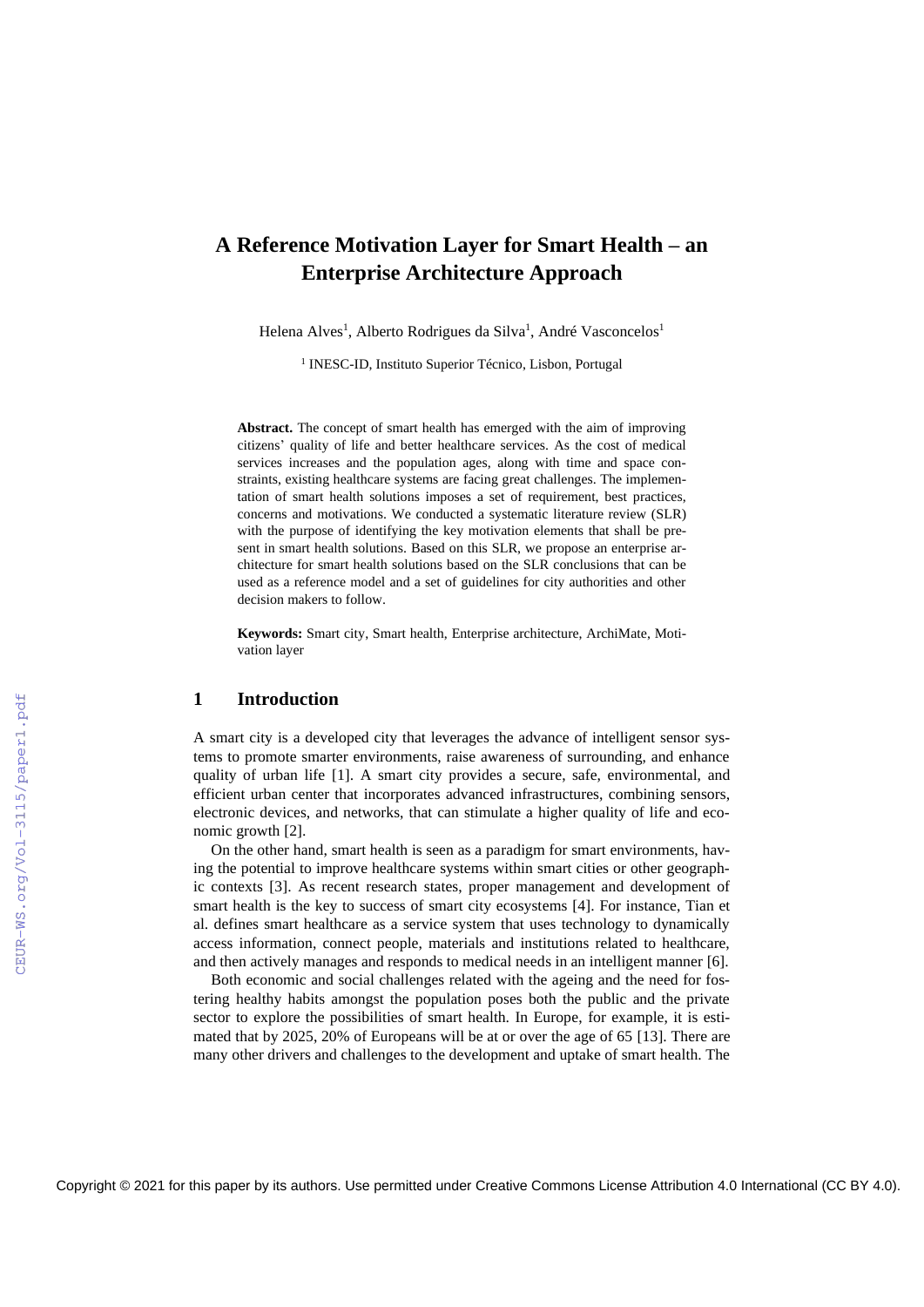# **A Reference Motivation Layer for Smart Health – an Enterprise Architecture Approach**

Helena Alves<sup>1</sup>, Alberto Rodrigues da Silva<sup>1</sup>, André Vasconcelos<sup>1</sup>

<sup>1</sup> INESC-ID, Instituto Superior Técnico, Lisbon, Portugal

**Abstract.** The concept of smart health has emerged with the aim of improving citizens' quality of life and better healthcare services. As the cost of medical services increases and the population ages, along with time and space constraints, existing healthcare systems are facing great challenges. The implementation of smart health solutions imposes a set of requirement, best practices, concerns and motivations. We conducted a systematic literature review (SLR) with the purpose of identifying the key motivation elements that shall be present in smart health solutions. Based on this SLR, we propose an enterprise architecture for smart health solutions based on the SLR conclusions that can be used as a reference model and a set of guidelines for city authorities and other decision makers to follow.

**Keywords:** Smart city, Smart health, Enterprise architecture, ArchiMate, Motivation layer

### **1 Introduction**

A smart city is a developed city that leverages the advance of intelligent sensor systems to promote smarter environments, raise awareness of surrounding, and enhance quality of urban life [1]. A smart city provides a secure, safe, environmental, and efficient urban center that incorporates advanced infrastructures, combining sensors, electronic devices, and networks, that can stimulate a higher quality of life and economic growth [2].

On the other hand, smart health is seen as a paradigm for smart environments, having the potential to improve healthcare systems within smart cities or other geographic contexts [3]. As recent research states, proper management and development of smart health is the key to success of smart city ecosystems [4]. For instance, Tian et al. defines smart healthcare as a service system that uses technology to dynamically access information, connect people, materials and institutions related to healthcare, and then actively manages and responds to medical needs in an intelligent manner [6].

Both economic and social challenges related with the ageing and the need for fostering healthy habits amongst the population poses both the public and the private sector to explore the possibilities of smart health. In Europe, for example, it is estimated that by 2025, 20% of Europeans will be at or over the age of 65 [13]. There are many other drivers and challenges to the development and uptake of smart health. The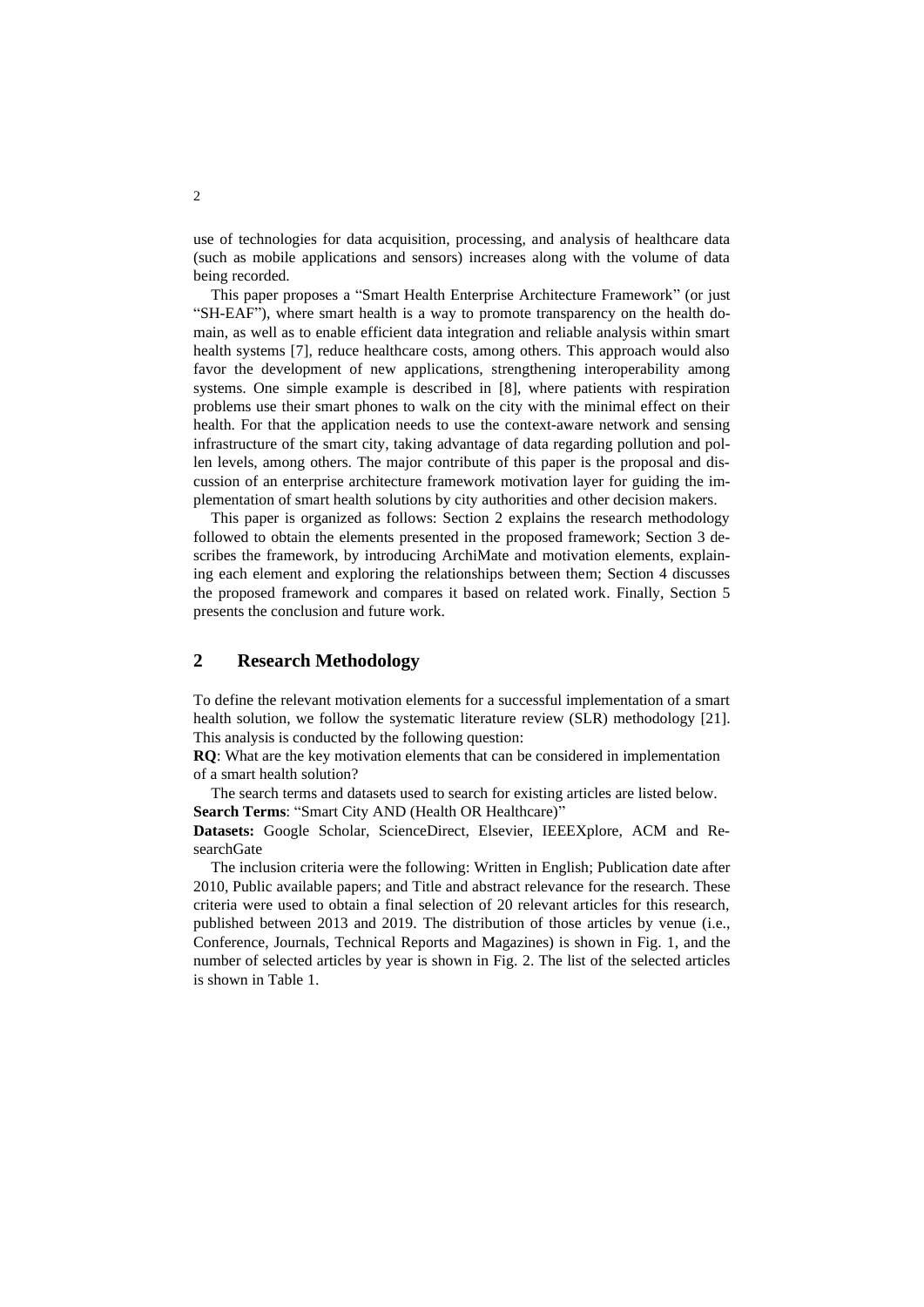use of technologies for data acquisition, processing, and analysis of healthcare data (such as mobile applications and sensors) increases along with the volume of data being recorded.

This paper proposes a "Smart Health Enterprise Architecture Framework" (or just "SH-EAF"), where smart health is a way to promote transparency on the health domain, as well as to enable efficient data integration and reliable analysis within smart health systems [7], reduce healthcare costs, among others. This approach would also favor the development of new applications, strengthening interoperability among systems. One simple example is described in [8], where patients with respiration problems use their smart phones to walk on the city with the minimal effect on their health. For that the application needs to use the context-aware network and sensing infrastructure of the smart city, taking advantage of data regarding pollution and pollen levels, among others. The major contribute of this paper is the proposal and discussion of an enterprise architecture framework motivation layer for guiding the implementation of smart health solutions by city authorities and other decision makers.

This paper is organized as follows: Section 2 explains the research methodology followed to obtain the elements presented in the proposed framework; Section 3 describes the framework, by introducing ArchiMate and motivation elements, explaining each element and exploring the relationships between them; Section 4 discusses the proposed framework and compares it based on related work. Finally, Section 5 presents the conclusion and future work.

# **2 Research Methodology**

To define the relevant motivation elements for a successful implementation of a smart health solution, we follow the systematic literature review (SLR) methodology [21]. This analysis is conducted by the following question:

**RQ**: What are the key motivation elements that can be considered in implementation of a smart health solution?

The search terms and datasets used to search for existing articles are listed below. Search Terms: "Smart City AND (Health OR Healthcare)"

**Datasets:** Google Scholar, ScienceDirect, Elsevier, IEEEXplore, ACM and ResearchGate

The inclusion criteria were the following: Written in English; Publication date after 2010, Public available papers; and Title and abstract relevance for the research. These criteria were used to obtain a final selection of 20 relevant articles for this research, published between 2013 and 2019. The distribution of those articles by venue (i.e., Conference, Journals, Technical Reports and Magazines) is shown in Fig. 1, and the number of selected articles by year is shown in Fig. 2. The list of the selected articles is shown in Table 1.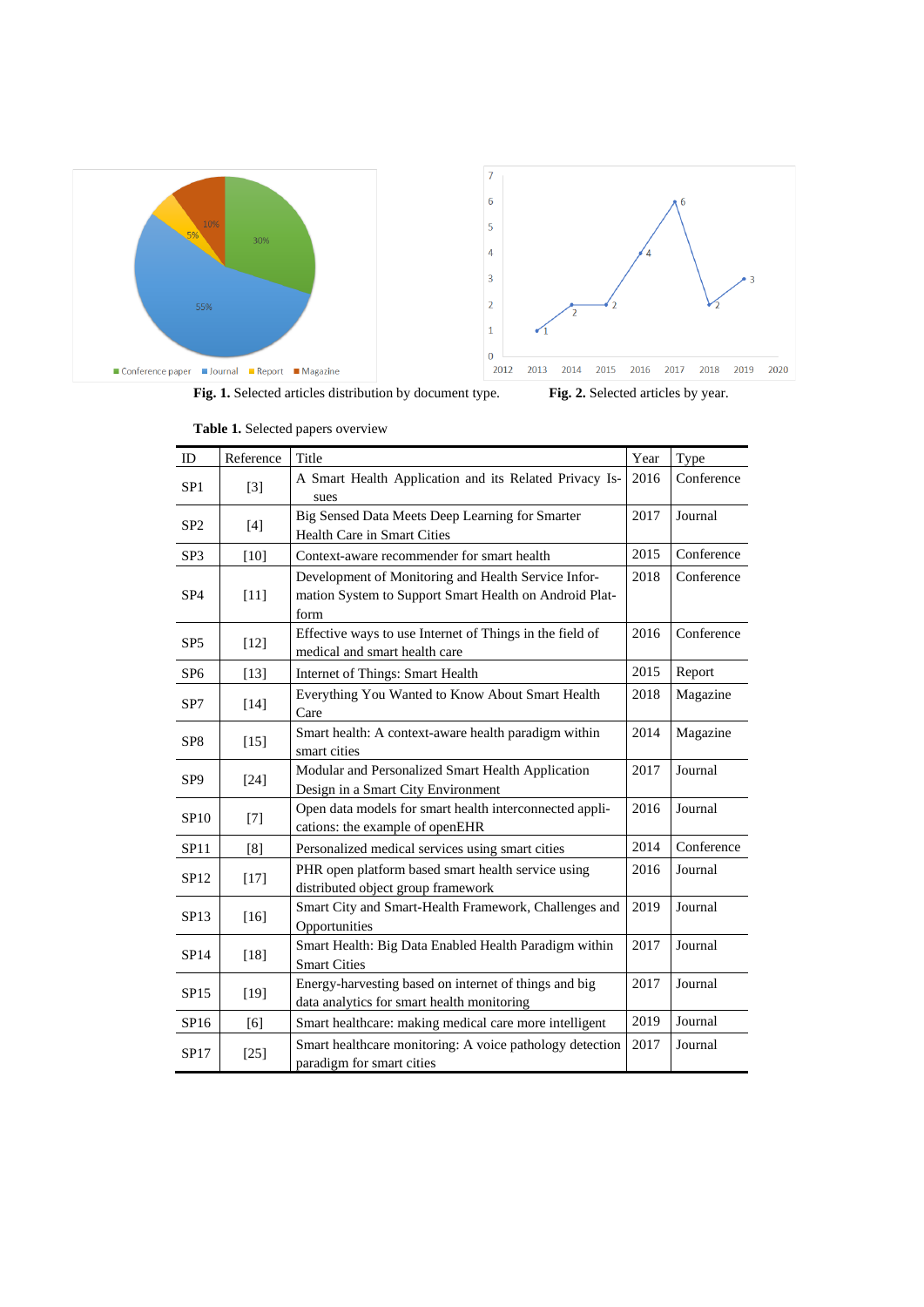

**Table 1.** Selected papers overview

| ID              | Reference | Title                                                                                                                         | Year | Type       |  |  |  |  |
|-----------------|-----------|-------------------------------------------------------------------------------------------------------------------------------|------|------------|--|--|--|--|
| SP <sub>1</sub> | $[3]$     | A Smart Health Application and its Related Privacy Is-<br>sues                                                                | 2016 | Conference |  |  |  |  |
| SP <sub>2</sub> | $[4]$     | Big Sensed Data Meets Deep Learning for Smarter<br>2017<br>Health Care in Smart Cities                                        |      | Journal    |  |  |  |  |
| SP <sub>3</sub> | $[10]$    | Context-aware recommender for smart health                                                                                    | 2015 | Conference |  |  |  |  |
| SP <sub>4</sub> | $[11]$    | 2018<br>Development of Monitoring and Health Service Infor-<br>mation System to Support Smart Health on Android Plat-<br>form |      | Conference |  |  |  |  |
| SP <sub>5</sub> | $[12]$    | Effective ways to use Internet of Things in the field of<br>medical and smart health care                                     | 2016 | Conference |  |  |  |  |
| SP <sub>6</sub> | $[13]$    | Internet of Things: Smart Health                                                                                              | 2015 | Report     |  |  |  |  |
| SP7             | [14]      | Everything You Wanted to Know About Smart Health<br>Care                                                                      | 2018 | Magazine   |  |  |  |  |
| SP <sub>8</sub> | $[15]$    | Smart health: A context-aware health paradigm within<br>2014<br>smart cities                                                  |      | Magazine   |  |  |  |  |
| SP <sub>9</sub> | $[24]$    | Modular and Personalized Smart Health Application<br>Design in a Smart City Environment                                       | 2017 | Journal    |  |  |  |  |
| SP10            | $[7]$     | Open data models for smart health interconnected appli-<br>2016<br>cations: the example of openEHR                            |      | Journal    |  |  |  |  |
| <b>SP11</b>     | [8]       | Personalized medical services using smart cities                                                                              | 2014 | Conference |  |  |  |  |
| SP12            | $[17]$    | PHR open platform based smart health service using<br>distributed object group framework                                      | 2016 | Journal    |  |  |  |  |
| SP13            | $[16]$    | Smart City and Smart-Health Framework, Challenges and<br>Opportunities                                                        |      | Journal    |  |  |  |  |
| SP14            | [18]      | Smart Health: Big Data Enabled Health Paradigm within<br><b>Smart Cities</b>                                                  |      | Journal    |  |  |  |  |
| SP15            | $[19]$    | Energy-harvesting based on internet of things and big<br>data analytics for smart health monitoring                           |      | Journal    |  |  |  |  |
| SP16            | [6]       | Smart healthcare: making medical care more intelligent                                                                        | 2019 | Journal    |  |  |  |  |
| SP17            | $[25]$    | Smart healthcare monitoring: A voice pathology detection<br>paradigm for smart cities                                         | 2017 | Journal    |  |  |  |  |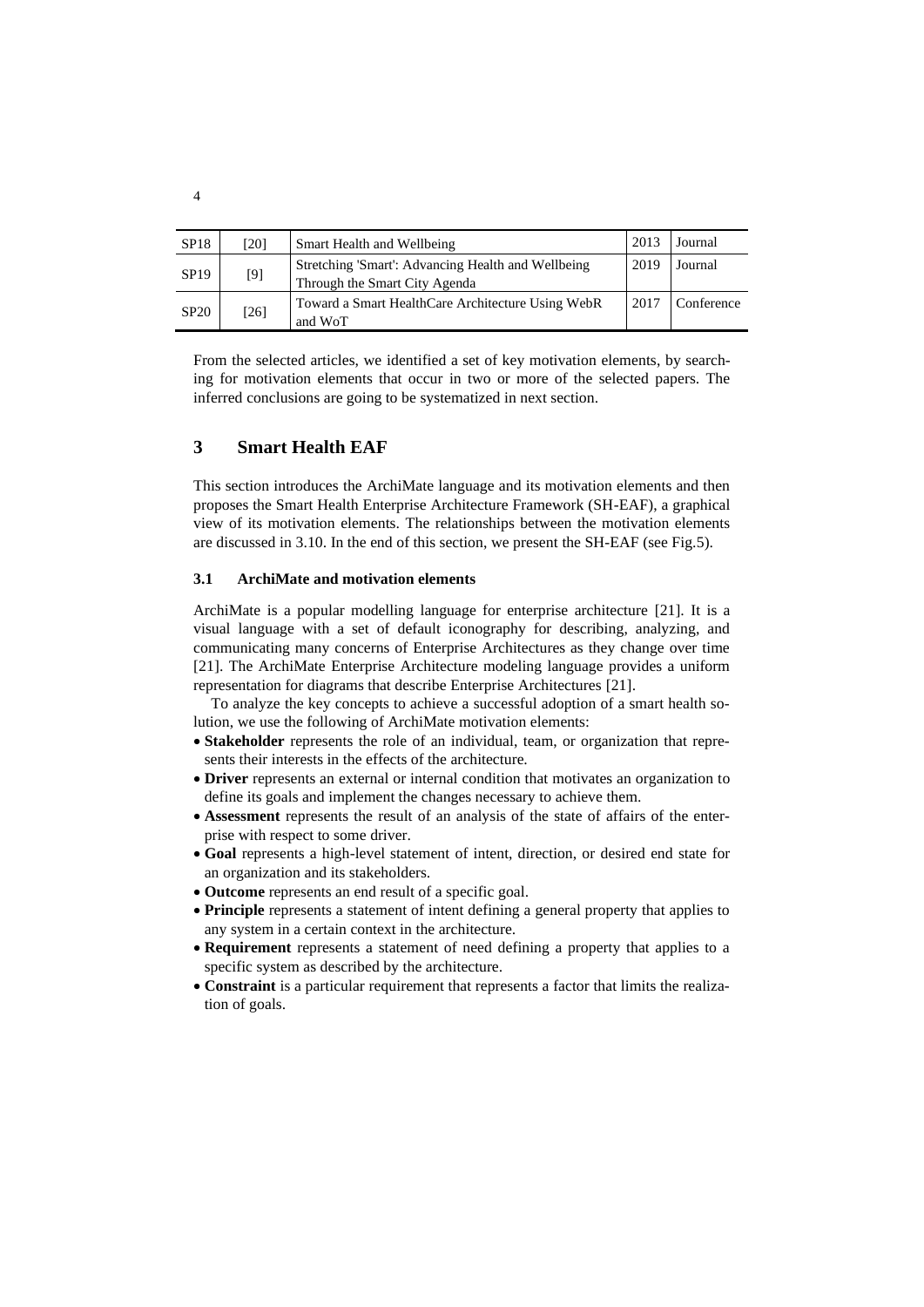| SP18        | [20]   | Smart Health and Wellbeing                                                                  | 2013 | Journal    |  |  |
|-------------|--------|---------------------------------------------------------------------------------------------|------|------------|--|--|
| <b>SP19</b> | $[9]$  | 2019<br>Stretching 'Smart': Advancing Health and Wellbeing<br>Through the Smart City Agenda |      | Journal    |  |  |
| <b>SP20</b> | $[26]$ | Toward a Smart HealthCare Architecture Using WebR<br>and WoT                                | 2017 | Conference |  |  |

From the selected articles, we identified a set of key motivation elements, by searching for motivation elements that occur in two or more of the selected papers. The inferred conclusions are going to be systematized in next section.

## **3 Smart Health EAF**

This section introduces the ArchiMate language and its motivation elements and then proposes the Smart Health Enterprise Architecture Framework (SH-EAF), a graphical view of its motivation elements. The relationships between the motivation elements are discussed in 3.10. In the end of this section, we present the SH-EAF (see Fig.5).

### **3.1 ArchiMate and motivation elements**

ArchiMate is a popular modelling language for enterprise architecture [21]. It is a visual language with a set of default iconography for describing, analyzing, and communicating many concerns of Enterprise Architectures as they change over time [21]. The ArchiMate Enterprise Architecture modeling language provides a uniform representation for diagrams that describe Enterprise Architectures [21].

To analyze the key concepts to achieve a successful adoption of a smart health solution, we use the following of ArchiMate motivation elements:

- **Stakeholder** represents the role of an individual, team, or organization that represents their interests in the effects of the architecture.
- **Driver** represents an external or internal condition that motivates an organization to define its goals and implement the changes necessary to achieve them.
- **Assessment** represents the result of an analysis of the state of affairs of the enterprise with respect to some driver.
- **Goal** represents a high-level statement of intent, direction, or desired end state for an organization and its stakeholders.
- **Outcome** represents an end result of a specific goal.
- **Principle** represents a statement of intent defining a general property that applies to any system in a certain context in the architecture.
- **Requirement** represents a statement of need defining a property that applies to a specific system as described by the architecture.
- **Constraint** is a particular requirement that represents a factor that limits the realization of goals.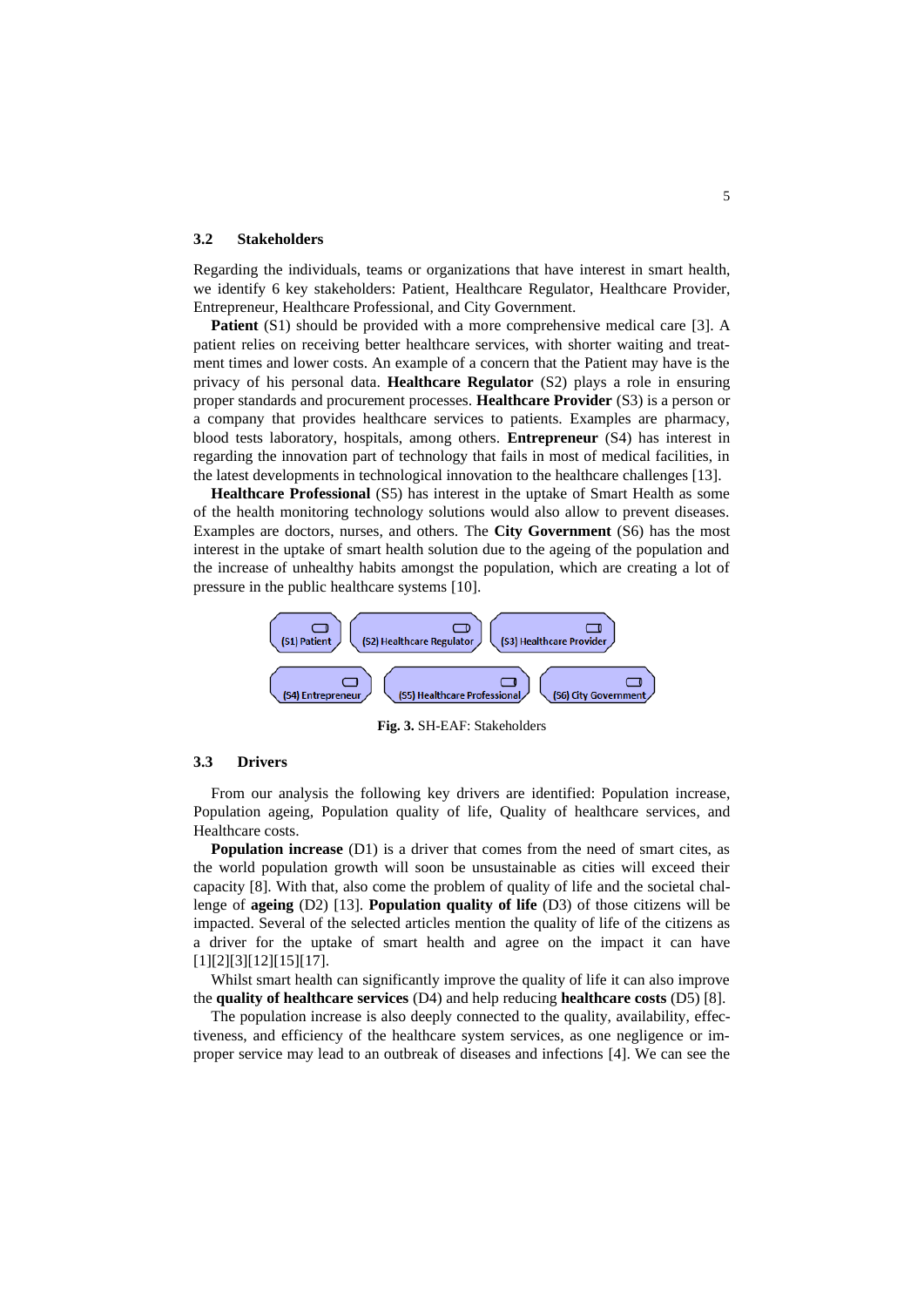#### **3.2 Stakeholders**

Regarding the individuals, teams or organizations that have interest in smart health, we identify 6 key stakeholders: Patient, Healthcare Regulator, Healthcare Provider, Entrepreneur, Healthcare Professional, and City Government.

**Patient** (S1) should be provided with a more comprehensive medical care [3]. A patient relies on receiving better healthcare services, with shorter waiting and treatment times and lower costs. An example of a concern that the Patient may have is the privacy of his personal data. **Healthcare Regulator** (S2) plays a role in ensuring proper standards and procurement processes. **Healthcare Provider** (S3) is a person or a company that provides healthcare services to patients. Examples are pharmacy, blood tests laboratory, hospitals, among others. **Entrepreneur** (S4) has interest in regarding the innovation part of technology that fails in most of medical facilities, in the latest developments in technological innovation to the healthcare challenges [13].

**Healthcare Professional** (S5) has interest in the uptake of Smart Health as some of the health monitoring technology solutions would also allow to prevent diseases. Examples are doctors, nurses, and others. The **City Government** (S6) has the most interest in the uptake of smart health solution due to the ageing of the population and the increase of unhealthy habits amongst the population, which are creating a lot of pressure in the public healthcare systems [10].



**Fig. 3.** SH-EAF: Stakeholders

#### **3.3 Drivers**

From our analysis the following key drivers are identified: Population increase, Population ageing, Population quality of life, Quality of healthcare services, and Healthcare costs.

**Population increase** (D1) is a driver that comes from the need of smart cites, as the world population growth will soon be unsustainable as cities will exceed their capacity [8]. With that, also come the problem of quality of life and the societal challenge of **ageing** (D2) [13]. **Population quality of life** (D3) of those citizens will be impacted. Several of the selected articles mention the quality of life of the citizens as a driver for the uptake of smart health and agree on the impact it can have [1][2][3][12][15][17].

Whilst smart health can significantly improve the quality of life it can also improve the **quality of healthcare services** (D4) and help reducing **healthcare costs** (D5) [8].

The population increase is also deeply connected to the quality, availability, effectiveness, and efficiency of the healthcare system services, as one negligence or improper service may lead to an outbreak of diseases and infections [4]. We can see the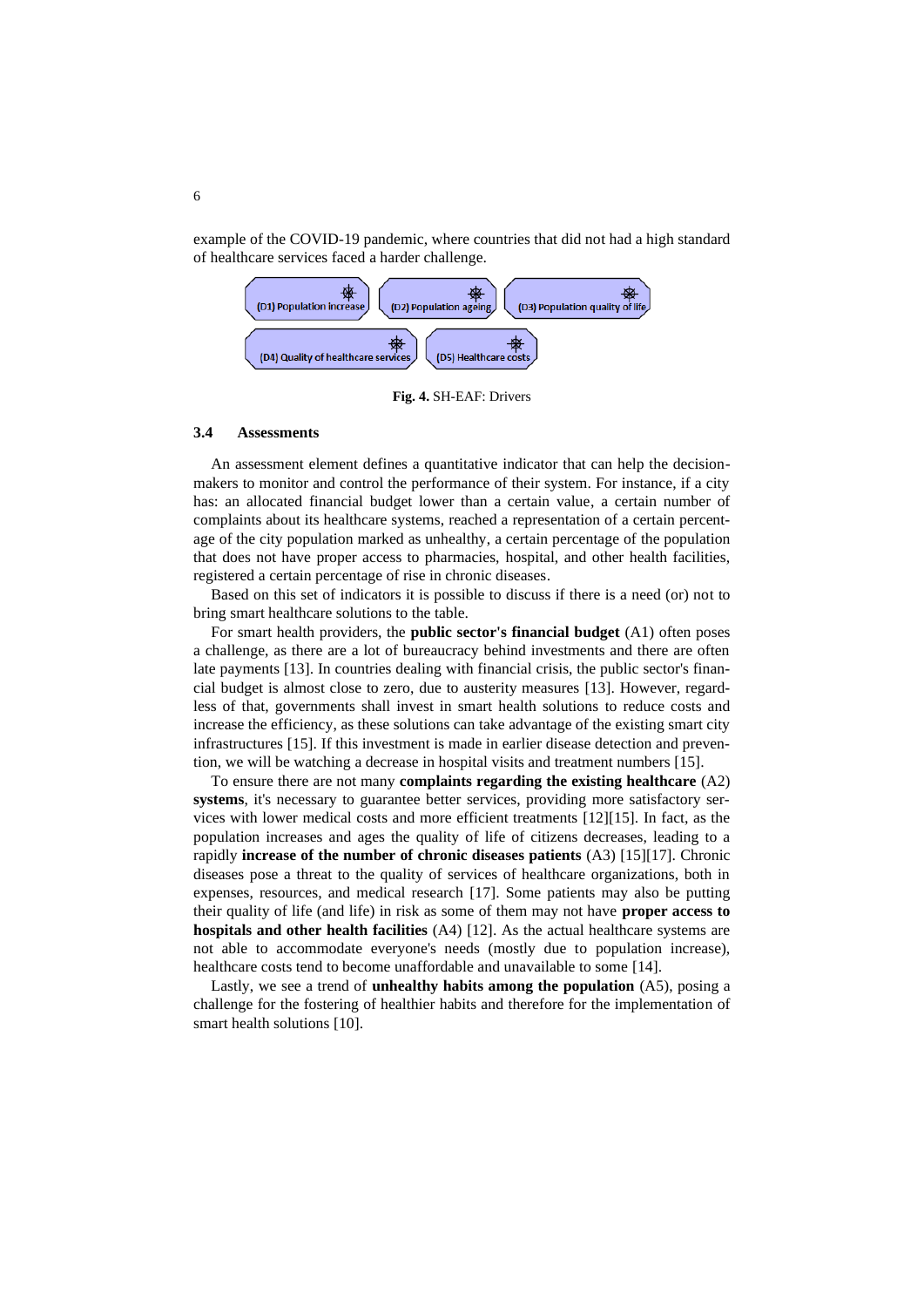example of the COVID-19 pandemic, where countries that did not had a high standard of healthcare services faced a harder challenge.



**Fig. 4.** SH-EAF: Drivers

### **3.4 Assessments**

An assessment element defines a quantitative indicator that can help the decisionmakers to monitor and control the performance of their system. For instance, if a city has: an allocated financial budget lower than a certain value, a certain number of complaints about its healthcare systems, reached a representation of a certain percentage of the city population marked as unhealthy, a certain percentage of the population that does not have proper access to pharmacies, hospital, and other health facilities, registered a certain percentage of rise in chronic diseases.

Based on this set of indicators it is possible to discuss if there is a need (or) not to bring smart healthcare solutions to the table.

For smart health providers, the **public sector's financial budget** (A1) often poses a challenge, as there are a lot of bureaucracy behind investments and there are often late payments [13]. In countries dealing with financial crisis, the public sector's financial budget is almost close to zero, due to austerity measures [13]. However, regardless of that, governments shall invest in smart health solutions to reduce costs and increase the efficiency, as these solutions can take advantage of the existing smart city infrastructures [15]. If this investment is made in earlier disease detection and prevention, we will be watching a decrease in hospital visits and treatment numbers [15].

To ensure there are not many **complaints regarding the existing healthcare** (A2) **systems**, it's necessary to guarantee better services, providing more satisfactory services with lower medical costs and more efficient treatments [12][15]. In fact, as the population increases and ages the quality of life of citizens decreases, leading to a rapidly **increase of the number of chronic diseases patients** (A3) [15][17]. Chronic diseases pose a threat to the quality of services of healthcare organizations, both in expenses, resources, and medical research [17]. Some patients may also be putting their quality of life (and life) in risk as some of them may not have **proper access to hospitals and other health facilities** (A4) [12]. As the actual healthcare systems are not able to accommodate everyone's needs (mostly due to population increase), healthcare costs tend to become unaffordable and unavailable to some [14].

Lastly, we see a trend of **unhealthy habits among the population** (A5), posing a challenge for the fostering of healthier habits and therefore for the implementation of smart health solutions [10].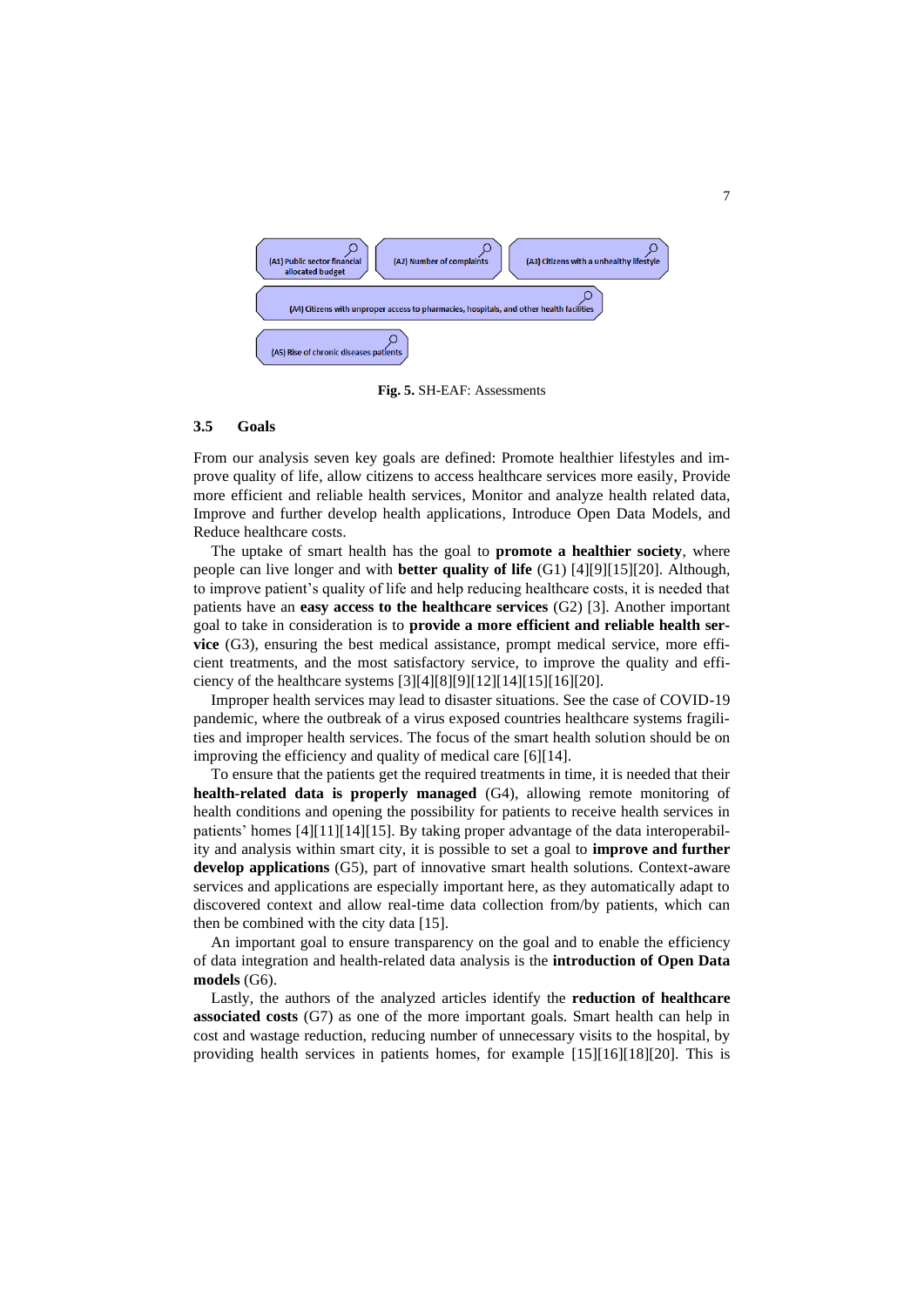

**Fig. 5.** SH-EAF: Assessments

#### **3.5 Goals**

From our analysis seven key goals are defined: Promote healthier lifestyles and improve quality of life, allow citizens to access healthcare services more easily, Provide more efficient and reliable health services, Monitor and analyze health related data, Improve and further develop health applications, Introduce Open Data Models, and Reduce healthcare costs.

The uptake of smart health has the goal to **promote a healthier society**, where people can live longer and with **better quality of life** (G1) [4][9][15][20]. Although, to improve patient's quality of life and help reducing healthcare costs, it is needed that patients have an **easy access to the healthcare services** (G2) [3]. Another important goal to take in consideration is to **provide a more efficient and reliable health service** (G3), ensuring the best medical assistance, prompt medical service, more efficient treatments, and the most satisfactory service, to improve the quality and efficiency of the healthcare systems  $[3][4][8][9][12][14][15][16][20]$ .

Improper health services may lead to disaster situations. See the case of COVID-19 pandemic, where the outbreak of a virus exposed countries healthcare systems fragilities and improper health services. The focus of the smart health solution should be on improving the efficiency and quality of medical care [6][14].

To ensure that the patients get the required treatments in time, it is needed that their **health-related data is properly managed** (G4), allowing remote monitoring of health conditions and opening the possibility for patients to receive health services in patients' homes [4][11][14][15]. By taking proper advantage of the data interoperability and analysis within smart city, it is possible to set a goal to **improve and further develop applications** (G5), part of innovative smart health solutions. Context-aware services and applications are especially important here, as they automatically adapt to discovered context and allow real-time data collection from/by patients, which can then be combined with the city data [15].

An important goal to ensure transparency on the goal and to enable the efficiency of data integration and health-related data analysis is the **introduction of Open Data models** (G6).

Lastly, the authors of the analyzed articles identify the **reduction of healthcare associated costs** (G7) as one of the more important goals. Smart health can help in cost and wastage reduction, reducing number of unnecessary visits to the hospital, by providing health services in patients homes, for example [15][16][18][20]. This is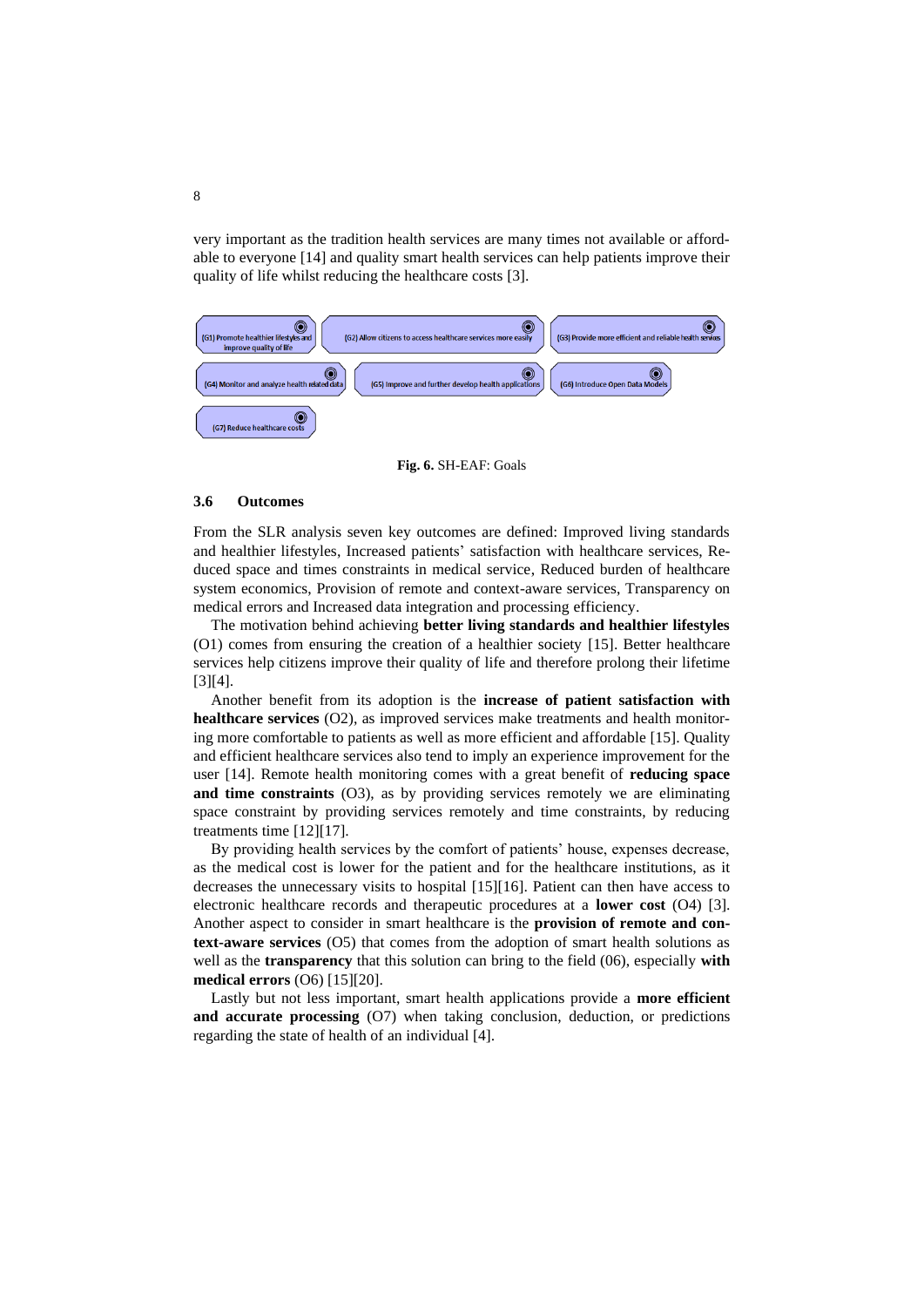very important as the tradition health services are many times not available or affordable to everyone [14] and quality smart health services can help patients improve their quality of life whilst reducing the healthcare costs [3].

| 0<br>O<br>(G2) Allow citizens to access healthcare services more easily<br>(G1) Promote healthier lifestyles and<br>improve quality of life | (G3) Provide more efficient and reliable health services |
|---------------------------------------------------------------------------------------------------------------------------------------------|----------------------------------------------------------|
| 0<br>0<br>(G4) Monitor and analyze health related data<br>(G5) Improve and further develop health applications                              | (G6) Introduce Open Data Models                          |
| 0<br>(G7) Reduce healthcare costs                                                                                                           |                                                          |

**Fig. 6.** SH-EAF: Goals

### **3.6 Outcomes**

From the SLR analysis seven key outcomes are defined: Improved living standards and healthier lifestyles, Increased patients' satisfaction with healthcare services, Reduced space and times constraints in medical service, Reduced burden of healthcare system economics, Provision of remote and context-aware services, Transparency on medical errors and Increased data integration and processing efficiency.

The motivation behind achieving **better living standards and healthier lifestyles** (O1) comes from ensuring the creation of a healthier society [15]. Better healthcare services help citizens improve their quality of life and therefore prolong their lifetime [3][4].

Another benefit from its adoption is the **increase of patient satisfaction with healthcare services** (O2), as improved services make treatments and health monitoring more comfortable to patients as well as more efficient and affordable [15]. Quality and efficient healthcare services also tend to imply an experience improvement for the user [14]. Remote health monitoring comes with a great benefit of **reducing space and time constraints** (O3), as by providing services remotely we are eliminating space constraint by providing services remotely and time constraints, by reducing treatments time [12][17].

By providing health services by the comfort of patients' house, expenses decrease, as the medical cost is lower for the patient and for the healthcare institutions, as it decreases the unnecessary visits to hospital [15][16]. Patient can then have access to electronic healthcare records and therapeutic procedures at a **lower cost** (O4) [3]. Another aspect to consider in smart healthcare is the **provision of remote and context-aware services** (O5) that comes from the adoption of smart health solutions as well as the **transparency** that this solution can bring to the field (06), especially **with medical errors** (O6) [15][20].

Lastly but not less important, smart health applications provide a **more efficient and accurate processing** (O7) when taking conclusion, deduction, or predictions regarding the state of health of an individual [4].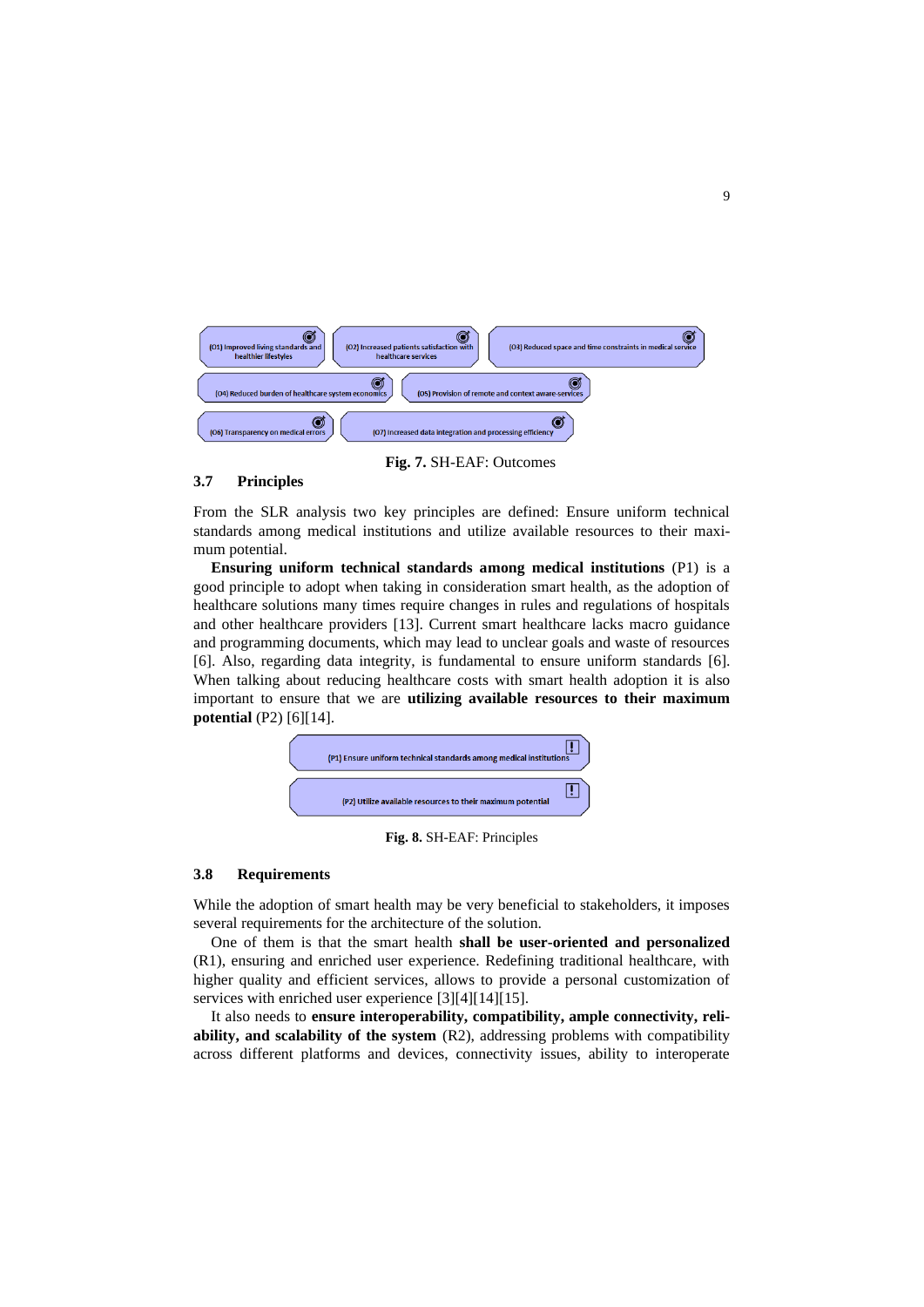| (O2) Increased patients satisfaction with<br>(01) Improved living standards and<br>(O3) Reduced space and time constraints in medical service<br>healthcare services<br>healthier lifestyles |
|----------------------------------------------------------------------------------------------------------------------------------------------------------------------------------------------|
| (05) Provision of remote and context aware-services<br>(O4) Reduced burden of healthcare system economics                                                                                    |
| Ø<br>O)<br>(O6) Transparency on medical errors<br>(O7) Increased data integration and processing efficiency                                                                                  |

#### **Fig. 7.** SH-EAF: Outcomes

### **3.7 Principles**

From the SLR analysis two key principles are defined: Ensure uniform technical standards among medical institutions and utilize available resources to their maximum potential.

**Ensuring uniform technical standards among medical institutions** (P1) is a good principle to adopt when taking in consideration smart health, as the adoption of healthcare solutions many times require changes in rules and regulations of hospitals and other healthcare providers [13]. Current smart healthcare lacks macro guidance and programming documents, which may lead to unclear goals and waste of resources [6]. Also, regarding data integrity, is fundamental to ensure uniform standards [6]. When talking about reducing healthcare costs with smart health adoption it is also important to ensure that we are **utilizing available resources to their maximum potential** (P2) [6][14].



**Fig. 8.** SH-EAF: Principles

### **3.8 Requirements**

While the adoption of smart health may be very beneficial to stakeholders, it imposes several requirements for the architecture of the solution.

One of them is that the smart health **shall be user-oriented and personalized** (R1), ensuring and enriched user experience. Redefining traditional healthcare, with higher quality and efficient services, allows to provide a personal customization of services with enriched user experience [3][4][14][15].

It also needs to **ensure interoperability, compatibility, ample connectivity, reliability, and scalability of the system** (R2), addressing problems with compatibility across different platforms and devices, connectivity issues, ability to interoperate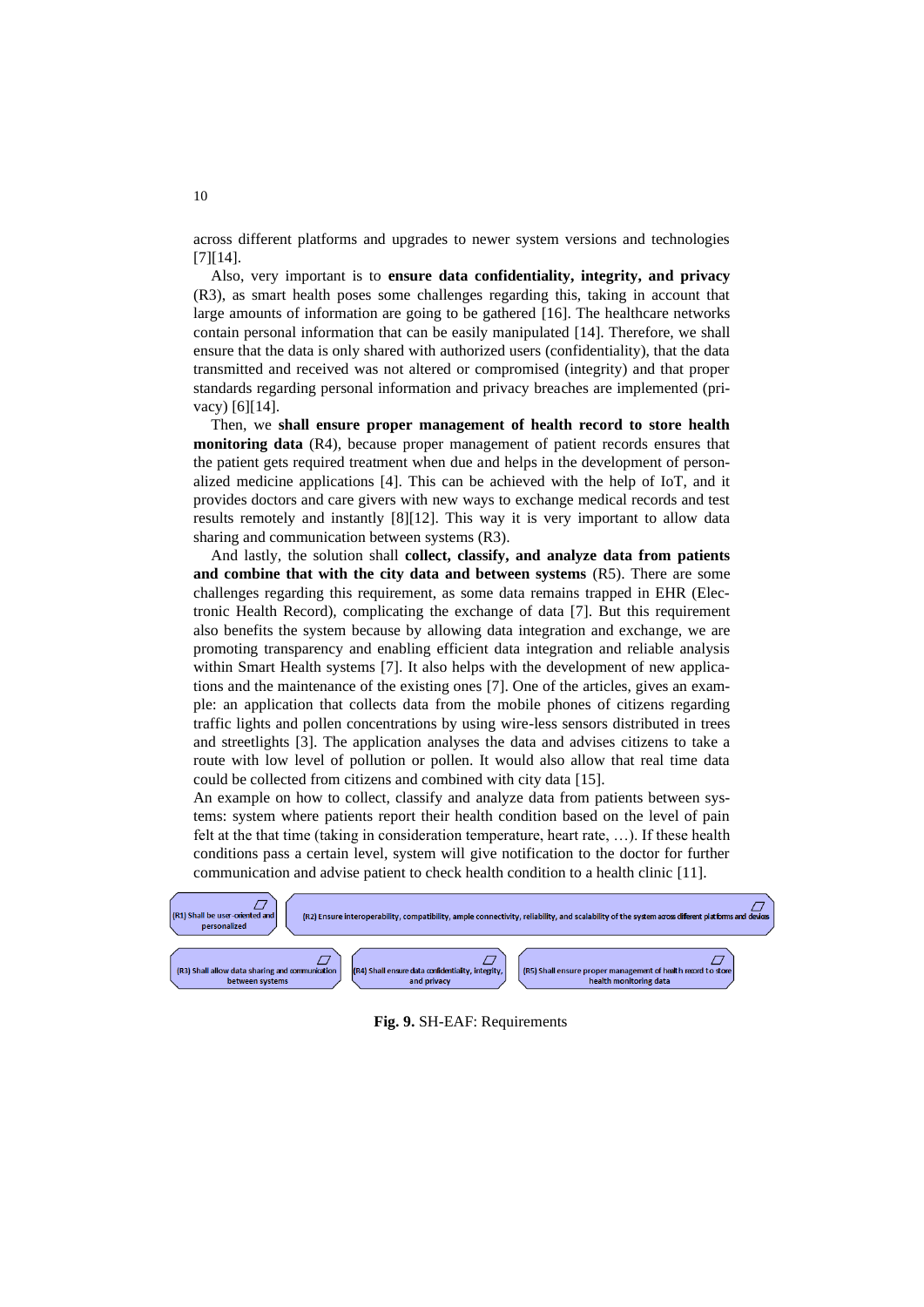across different platforms and upgrades to newer system versions and technologies [7][14].

Also, very important is to **ensure data confidentiality, integrity, and privacy** (R3), as smart health poses some challenges regarding this, taking in account that large amounts of information are going to be gathered [16]. The healthcare networks contain personal information that can be easily manipulated [14]. Therefore, we shall ensure that the data is only shared with authorized users (confidentiality), that the data transmitted and received was not altered or compromised (integrity) and that proper standards regarding personal information and privacy breaches are implemented (privacy) [6][14].

Then, we **shall ensure proper management of health record to store health monitoring data** (R4), because proper management of patient records ensures that the patient gets required treatment when due and helps in the development of personalized medicine applications [4]. This can be achieved with the help of IoT, and it provides doctors and care givers with new ways to exchange medical records and test results remotely and instantly [8][12]. This way it is very important to allow data sharing and communication between systems (R3).

And lastly, the solution shall **collect, classify, and analyze data from patients and combine that with the city data and between systems** (R5). There are some challenges regarding this requirement, as some data remains trapped in EHR (Electronic Health Record), complicating the exchange of data [7]. But this requirement also benefits the system because by allowing data integration and exchange, we are promoting transparency and enabling efficient data integration and reliable analysis within Smart Health systems [7]. It also helps with the development of new applications and the maintenance of the existing ones [7]. One of the articles, gives an example: an application that collects data from the mobile phones of citizens regarding traffic lights and pollen concentrations by using wire-less sensors distributed in trees and streetlights [3]. The application analyses the data and advises citizens to take a route with low level of pollution or pollen. It would also allow that real time data could be collected from citizens and combined with city data [15].

An example on how to collect, classify and analyze data from patients between systems: system where patients report their health condition based on the level of pain felt at the that time (taking in consideration temperature, heart rate, …). If these health conditions pass a certain level, system will give notification to the doctor for further communication and advise patient to check health condition to a health clinic [11].



**Fig. 9.** SH-EAF: Requirements

10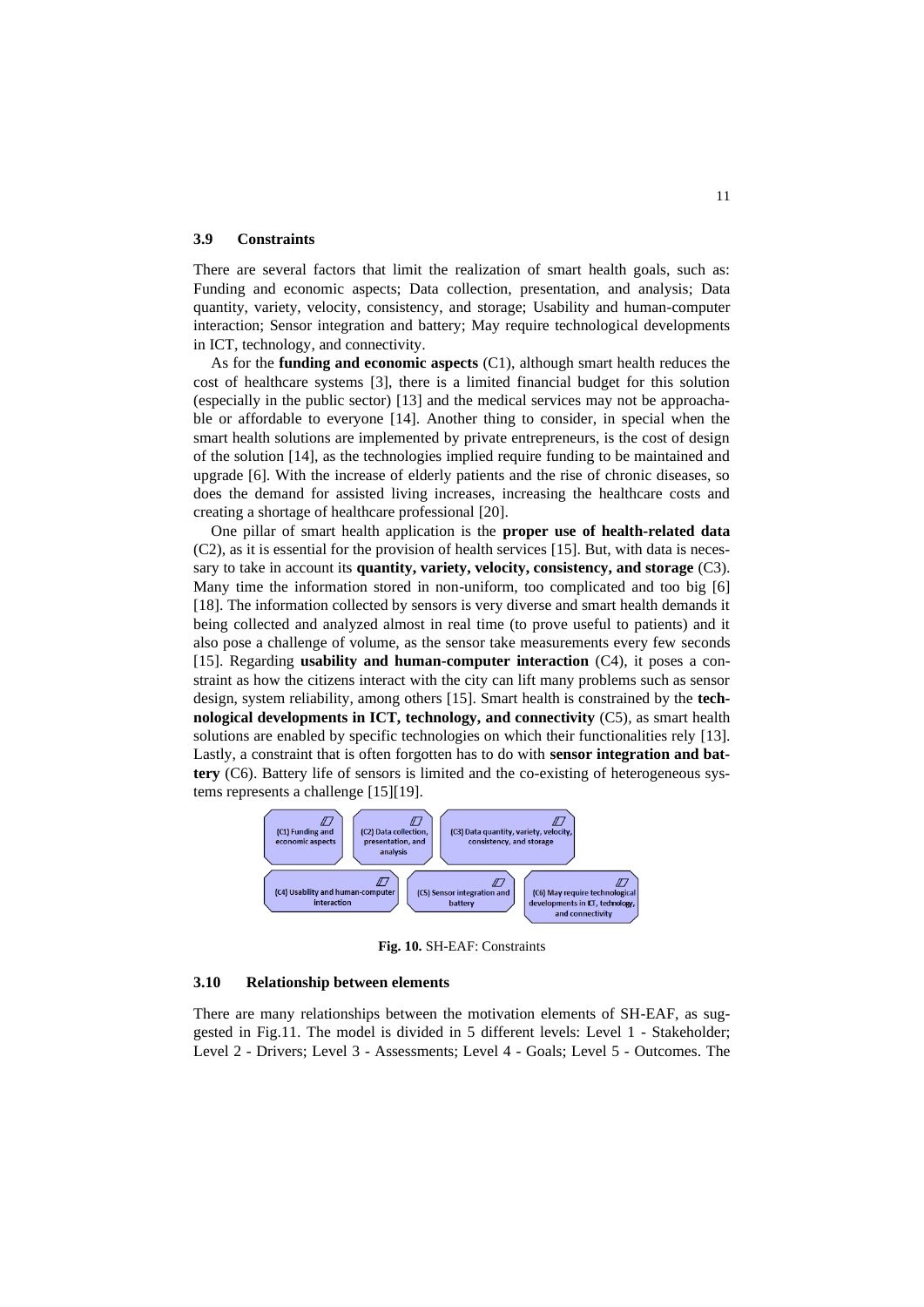#### **3.9 Constraints**

There are several factors that limit the realization of smart health goals, such as: Funding and economic aspects; Data collection, presentation, and analysis; Data quantity, variety, velocity, consistency, and storage; Usability and human-computer interaction; Sensor integration and battery; May require technological developments in ICT, technology, and connectivity.

As for the **funding and economic aspects** (C1), although smart health reduces the cost of healthcare systems [3], there is a limited financial budget for this solution (especially in the public sector) [13] and the medical services may not be approachable or affordable to everyone [14]. Another thing to consider, in special when the smart health solutions are implemented by private entrepreneurs, is the cost of design of the solution [14], as the technologies implied require funding to be maintained and upgrade [6]. With the increase of elderly patients and the rise of chronic diseases, so does the demand for assisted living increases, increasing the healthcare costs and creating a shortage of healthcare professional [20].

One pillar of smart health application is the **proper use of health-related data** (C2), as it is essential for the provision of health services [15]. But, with data is necessary to take in account its **quantity, variety, velocity, consistency, and storage** (C3). Many time the information stored in non-uniform, too complicated and too big [6] [18]. The information collected by sensors is very diverse and smart health demands it being collected and analyzed almost in real time (to prove useful to patients) and it also pose a challenge of volume, as the sensor take measurements every few seconds [15]. Regarding **usability and human-computer interaction** (C4), it poses a constraint as how the citizens interact with the city can lift many problems such as sensor design, system reliability, among others [15]. Smart health is constrained by the **technological developments in ICT, technology, and connectivity** (C5), as smart health solutions are enabled by specific technologies on which their functionalities rely [13]. Lastly, a constraint that is often forgotten has to do with **sensor integration and battery** (C6). Battery life of sensors is limited and the co-existing of heterogeneous systems represents a challenge [15][19].



**Fig. 10.** SH-EAF: Constraints

### **3.10 Relationship between elements**

There are many relationships between the motivation elements of SH-EAF, as suggested in Fig.11. The model is divided in 5 different levels: Level 1 - Stakeholder; Level 2 - Drivers; Level 3 - Assessments; Level 4 - Goals; Level 5 - Outcomes. The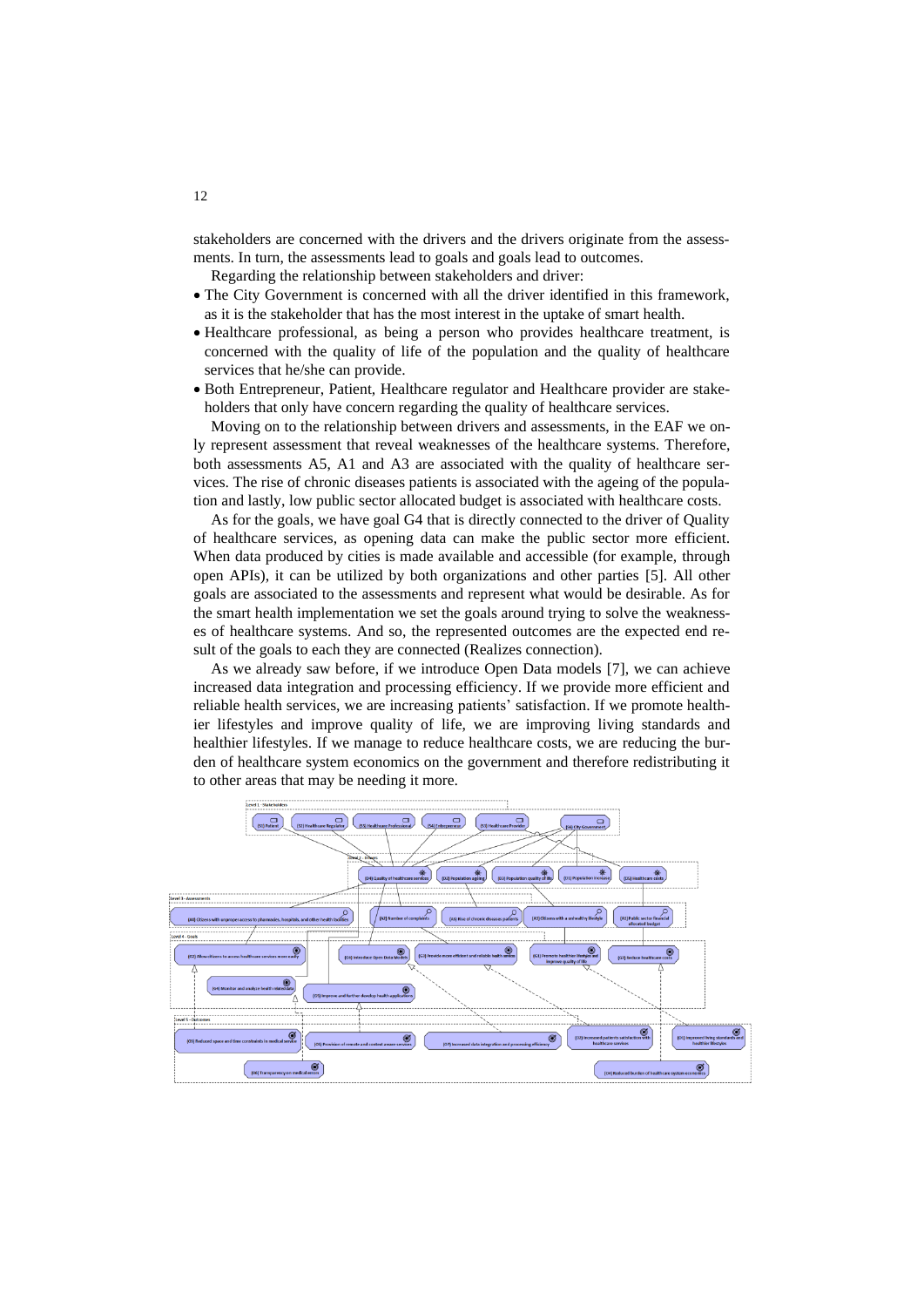stakeholders are concerned with the drivers and the drivers originate from the assessments. In turn, the assessments lead to goals and goals lead to outcomes.

Regarding the relationship between stakeholders and driver:

- The City Government is concerned with all the driver identified in this framework, as it is the stakeholder that has the most interest in the uptake of smart health.
- Healthcare professional, as being a person who provides healthcare treatment, is concerned with the quality of life of the population and the quality of healthcare services that he/she can provide.
- Both Entrepreneur, Patient, Healthcare regulator and Healthcare provider are stakeholders that only have concern regarding the quality of healthcare services.

Moving on to the relationship between drivers and assessments, in the EAF we only represent assessment that reveal weaknesses of the healthcare systems. Therefore, both assessments A5, A1 and A3 are associated with the quality of healthcare services. The rise of chronic diseases patients is associated with the ageing of the population and lastly, low public sector allocated budget is associated with healthcare costs.

As for the goals, we have goal G4 that is directly connected to the driver of Quality of healthcare services, as opening data can make the public sector more efficient. When data produced by cities is made available and accessible (for example, through open APIs), it can be utilized by both organizations and other parties [5]. All other goals are associated to the assessments and represent what would be desirable. As for the smart health implementation we set the goals around trying to solve the weaknesses of healthcare systems. And so, the represented outcomes are the expected end result of the goals to each they are connected (Realizes connection).

As we already saw before, if we introduce Open Data models [7], we can achieve increased data integration and processing efficiency. If we provide more efficient and reliable health services, we are increasing patients' satisfaction. If we promote healthier lifestyles and improve quality of life, we are improving living standards and healthier lifestyles. If we manage to reduce healthcare costs, we are reducing the burden of healthcare system economics on the government and therefore redistributing it to other areas that may be needing it more.

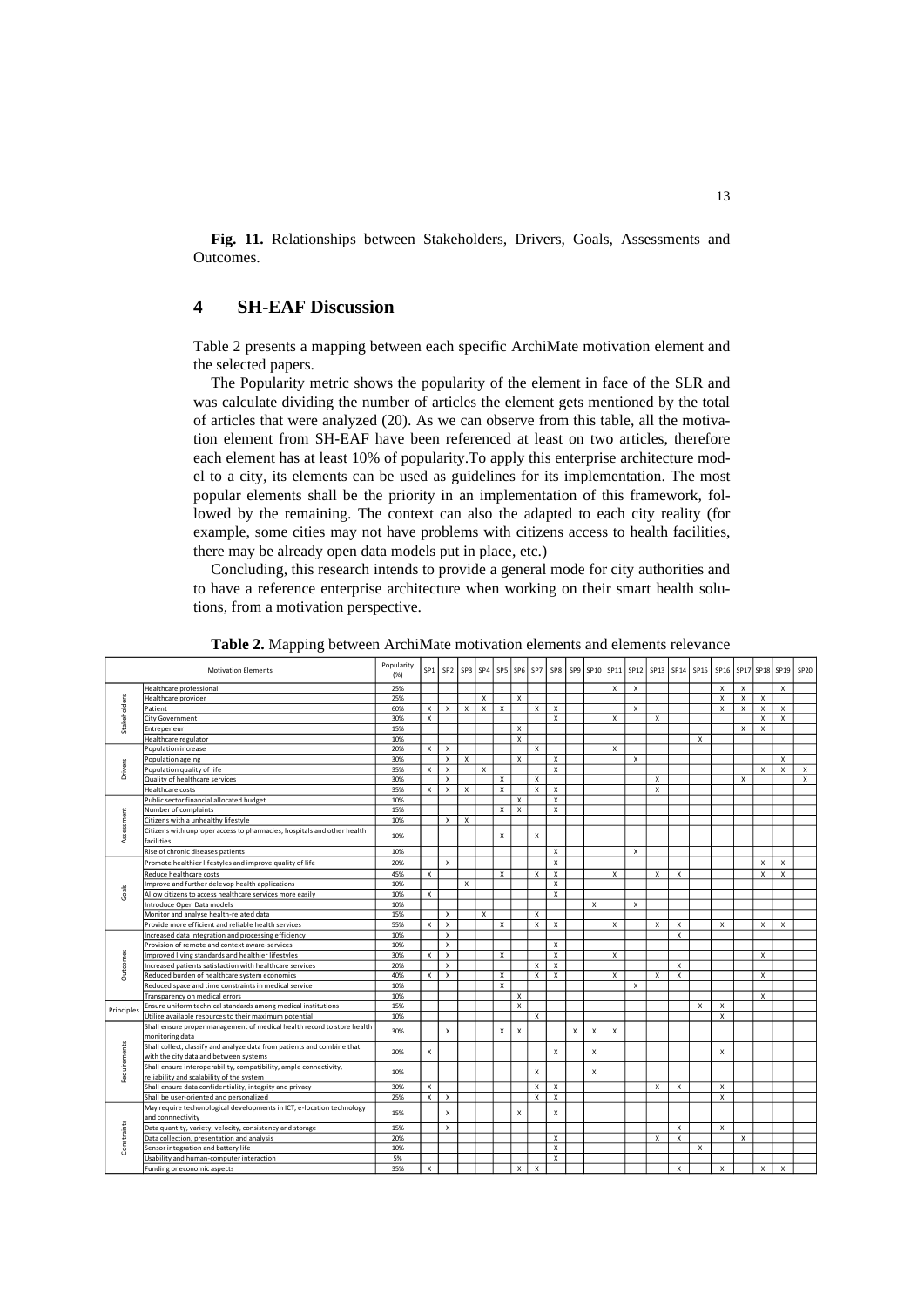**Fig. 11.** Relationships between Stakeholders, Drivers, Goals, Assessments and Outcomes.

# **4 SH-EAF Discussion**

Table 2 presents a mapping between each specific ArchiMate motivation element and the selected papers.

The Popularity metric shows the popularity of the element in face of the SLR and was calculate dividing the number of articles the element gets mentioned by the total of articles that were analyzed (20). As we can observe from this table, all the motivation element from SH-EAF have been referenced at least on two articles, therefore each element has at least 10% of popularity.To apply this enterprise architecture model to a city, its elements can be used as guidelines for its implementation. The most popular elements shall be the priority in an implementation of this framework, followed by the remaining. The context can also the adapted to each city reality (for example, some cities may not have problems with citizens access to health facilities, there may be already open data models put in place, etc.)

Concluding, this research intends to provide a general mode for city authorities and to have a reference enterprise architecture when working on their smart health solutions, from a motivation perspective.

| <b>Motivation Elements</b> |                                                                                            | Popularity<br>(% ) | SP <sub>1</sub> | SP <sub>2</sub>           | SP3 | SP4          | SP <sub>5</sub>           | SP <sub>6</sub> | SP7                       | SP8                       |   |                           |                           | SP9 SP10 SP11 SP12 SP13 SP14 |   |                           | SP15 | SP16 |                           | SP17 SP18    | SP19                      | SP20                      |
|----------------------------|--------------------------------------------------------------------------------------------|--------------------|-----------------|---------------------------|-----|--------------|---------------------------|-----------------|---------------------------|---------------------------|---|---------------------------|---------------------------|------------------------------|---|---------------------------|------|------|---------------------------|--------------|---------------------------|---------------------------|
|                            | Healthcare professional                                                                    |                    |                 |                           |     |              |                           |                 |                           |                           |   |                           | X                         | $\mathsf X$                  |   |                           |      | X    | x                         |              | $\boldsymbol{\mathsf{x}}$ |                           |
| Stakeholders               | Healthcare provider                                                                        |                    |                 |                           |     | X            |                           | X               |                           |                           |   |                           |                           |                              |   |                           |      | X    | x                         | X            |                           |                           |
|                            | Patient                                                                                    |                    | x               | x                         | X   | X            | $\pmb{\times}$            |                 | Х                         | x                         |   |                           |                           | X                            |   |                           |      | х    | Х                         | X            | $\boldsymbol{\mathsf{x}}$ |                           |
|                            | City Government                                                                            | 30%                | X               |                           |     |              |                           |                 |                           | $\mathsf{x}$              |   |                           | x                         |                              | X |                           |      |      |                           | X            | X                         |                           |
|                            | Entrepeneur                                                                                |                    |                 |                           |     |              |                           | X               |                           |                           |   |                           |                           |                              |   |                           |      |      | $\boldsymbol{\mathsf{x}}$ | $\mathsf{x}$ |                           |                           |
|                            | Healthcare regulator                                                                       | 10%                |                 |                           |     |              |                           | X               |                           |                           |   |                           |                           |                              |   |                           | X    |      |                           |              |                           |                           |
|                            | Population increase                                                                        | 20%                | x               | X                         |     |              |                           |                 | $\mathsf{x}$              |                           |   |                           | $\boldsymbol{\mathsf{x}}$ |                              |   |                           |      |      |                           |              |                           |                           |
|                            | Population ageing                                                                          | 30%                |                 | X                         | x   |              |                           | X               |                           | $\mathsf{x}$              |   |                           |                           | X                            |   |                           |      |      |                           |              | $\boldsymbol{\mathsf{x}}$ |                           |
| Drivers                    | Population quality of life                                                                 | 35%                | $\mathsf{x}$    | $\boldsymbol{\mathsf{x}}$ |     | $\mathsf{x}$ |                           |                 |                           | $\mathsf{x}$              |   |                           |                           |                              |   |                           |      |      |                           | X            | $\boldsymbol{\mathsf{x}}$ | $\boldsymbol{\mathsf{x}}$ |
|                            | Quality of healthcare services                                                             | 30%                |                 | $\boldsymbol{\mathsf{x}}$ |     |              | X                         |                 | $\mathsf{x}$              |                           |   |                           |                           |                              | X |                           |      |      | X                         |              |                           | $\mathsf{x}$              |
|                            | <b>Healthcare costs</b>                                                                    | 35%                | X               | $\mathsf{x}$              | X   |              | $\boldsymbol{\mathsf{x}}$ |                 | $\mathsf{x}$              | $\mathsf{x}$              |   |                           |                           |                              | X |                           |      |      |                           |              |                           |                           |
|                            | Public sector financial allocated budget                                                   | 10%<br>15%         |                 |                           |     |              |                           | X               |                           | $\pmb{\times}$            |   |                           |                           |                              |   |                           |      |      |                           |              |                           |                           |
|                            | Number of complaints                                                                       |                    |                 |                           |     |              | $\mathsf{x}$              | X               |                           | $\mathsf{x}$              |   |                           |                           |                              |   |                           |      |      |                           |              |                           |                           |
|                            | Citizens with a unhealthy lifestyle                                                        | 10%                |                 | x                         | x   |              |                           |                 |                           |                           |   |                           |                           |                              |   |                           |      |      |                           |              |                           |                           |
| Assessment                 | Citizens with unproper access to pharmacies, hospitals and other health<br>facilities      |                    |                 |                           |     |              | X                         |                 | $\mathsf{x}$              |                           |   |                           |                           |                              |   |                           |      |      |                           |              |                           |                           |
|                            | Rise of chronic diseases patients                                                          | 10%                |                 |                           |     |              |                           |                 |                           | X                         |   |                           |                           | $\mathsf{x}$                 |   |                           |      |      |                           |              |                           |                           |
|                            | Promote healthier lifestyles and improve quality of life                                   | 20%                |                 | x                         |     |              |                           |                 |                           | $\pmb{\times}$            |   |                           |                           |                              |   |                           |      |      |                           | X            | X                         |                           |
|                            | Reduce healthcare costs                                                                    | 45%                | X               |                           |     |              | $\boldsymbol{\mathsf{x}}$ |                 | X                         | X                         |   |                           | $\boldsymbol{\mathsf{x}}$ |                              | X | X                         |      |      |                           | $\mathsf{x}$ | X                         |                           |
|                            | Improve and further delevop health applications                                            | 10%                |                 |                           | x   |              |                           |                 |                           | X                         |   |                           |                           |                              |   |                           |      |      |                           |              |                           |                           |
| Goals                      | Allow citizens to access healthcare services more easily                                   | 10%                | х               |                           |     |              |                           |                 |                           | $\boldsymbol{\mathsf{x}}$ |   |                           |                           |                              |   |                           |      |      |                           |              |                           |                           |
|                            | Introduce Open Data models                                                                 | 10%                |                 |                           |     |              |                           |                 |                           |                           |   | X                         |                           | X                            |   |                           |      |      |                           |              |                           |                           |
|                            | Monitor and analyse health-related data                                                    | 15%                |                 | X                         |     | X            |                           |                 | X                         |                           |   |                           |                           |                              |   |                           |      |      |                           |              |                           |                           |
|                            | Provide more efficient and reliable health services                                        | 55%                | x               | $\boldsymbol{\mathsf{x}}$ |     |              | X                         |                 | $\boldsymbol{\mathsf{x}}$ | $\pmb{\times}$            |   |                           | $\boldsymbol{\mathsf{x}}$ |                              | X | X                         |      | X    |                           | X            | $\mathsf{x}$              |                           |
|                            | Increased data integration and processing efficiency                                       | 10%                |                 | $\boldsymbol{\mathsf{x}}$ |     |              |                           |                 |                           |                           |   |                           |                           |                              |   | X                         |      |      |                           |              |                           |                           |
|                            | Provision of remote and context aware-services                                             | 10%                |                 | $\boldsymbol{\mathsf{x}}$ |     |              |                           |                 |                           | $\mathsf{x}$              |   |                           |                           |                              |   |                           |      |      |                           |              |                           |                           |
|                            | Improved living standards and healthier lifestyles                                         | 30%                | X               | $\boldsymbol{\mathsf{x}}$ |     |              | $\boldsymbol{\mathsf{x}}$ |                 |                           | $\boldsymbol{\mathsf{x}}$ |   |                           | X                         |                              |   |                           |      |      |                           | X            |                           |                           |
| Outcomes                   | Increased patients satisfaction with healthcare services                                   | 20%                |                 | $\boldsymbol{\mathsf{x}}$ |     |              |                           |                 | X                         | X                         |   |                           |                           |                              |   | X                         |      |      |                           |              |                           |                           |
|                            | Reduced burden of healthcare system economics                                              | 40%                | $\mathsf{x}$    | $\boldsymbol{\mathsf{x}}$ |     |              | $\boldsymbol{\mathsf{x}}$ |                 | $\boldsymbol{\mathsf{x}}$ | $\mathsf{x}$              |   |                           | X                         |                              | X | X                         |      |      |                           | X            |                           |                           |
|                            | Reduced space and time constraints in medical service                                      | 10%                |                 |                           |     |              | $\boldsymbol{\mathsf{x}}$ |                 |                           |                           |   |                           |                           | X                            |   |                           |      |      |                           |              |                           |                           |
|                            | Transparency on medical errors                                                             | 10%                |                 |                           |     |              |                           | x               |                           |                           |   |                           |                           |                              |   |                           |      |      |                           | X            |                           |                           |
|                            | Ensure uniform technical standards among medical institutions                              | 15%                |                 |                           |     |              |                           | X               |                           |                           |   |                           |                           |                              |   |                           | X    | х    |                           |              |                           |                           |
| Principles                 | Utilize available resources to their maximum potential                                     | 10%                |                 |                           |     |              |                           |                 | $\mathsf{x}$              |                           |   |                           |                           |                              |   |                           |      | X    |                           |              |                           |                           |
|                            | Shall ensure proper management of medical health record to store health                    |                    |                 | X                         |     |              | X                         | X               |                           |                           | X | $\boldsymbol{\mathsf{x}}$ |                           |                              |   |                           |      |      |                           |              |                           |                           |
|                            | monitoring data                                                                            | 30%                |                 |                           |     |              |                           |                 |                           |                           |   |                           | X                         |                              |   |                           |      |      |                           |              |                           |                           |
|                            | Shall collect, classify and analyze data from patients and combine that                    | 20%                | X               |                           |     |              |                           |                 |                           | X                         |   | X                         |                           |                              |   |                           |      |      |                           |              |                           |                           |
|                            | with the city data and between systems                                                     |                    |                 |                           |     |              |                           |                 |                           |                           |   |                           |                           |                              |   |                           |      | х    |                           |              |                           |                           |
|                            | Shall ensure interoperability, compatibility, ample connectivity,                          |                    |                 |                           |     |              |                           |                 |                           |                           |   |                           |                           |                              |   |                           |      |      |                           |              |                           |                           |
| Requirements               | reliability and scalability of the system                                                  | 10%                |                 |                           |     |              |                           |                 | Х                         |                           |   | X                         |                           |                              |   |                           |      |      |                           |              |                           |                           |
|                            | Shall ensure data confidentiality, integrity and privacy                                   | 30%                | x               |                           |     |              |                           |                 | $\boldsymbol{\mathsf{x}}$ | $\pmb{\times}$            |   |                           |                           |                              | x | X                         |      | X    |                           |              |                           |                           |
|                            | Shall be user-oriented and personalized                                                    | 25%                | $\pmb{\chi}$    | х                         |     |              |                           |                 | $\boldsymbol{\mathsf{x}}$ | $\mathsf{x}$              |   |                           |                           |                              |   |                           |      | X    |                           |              |                           |                           |
| Constraints                | May require techonological developments in ICT, e-location technology<br>and connnectivity | 15%                |                 | X                         |     |              |                           | X               |                           | X                         |   |                           |                           |                              |   |                           |      |      |                           |              |                           |                           |
|                            | Data quantity, variety, velocity, consistency and storage                                  | 15%                |                 | $\boldsymbol{\mathsf{x}}$ |     |              |                           |                 |                           |                           |   |                           |                           |                              |   | $\boldsymbol{\mathsf{x}}$ |      | X    |                           |              |                           |                           |
|                            | Data collection, presentation and analysis                                                 | 20%                |                 |                           |     |              |                           |                 |                           | X                         |   |                           |                           |                              | X | X                         |      |      | X                         |              |                           |                           |
|                            | Sensor integration and battery life                                                        | 10%                |                 |                           |     |              |                           |                 |                           | $\boldsymbol{\mathsf{x}}$ |   |                           |                           |                              |   |                           | X    |      |                           |              |                           |                           |
|                            | Usability and human-computer interaction                                                   | 5%                 |                 |                           |     |              |                           |                 |                           | X                         |   |                           |                           |                              |   |                           |      |      |                           |              |                           |                           |
|                            | Funding or economic aspects                                                                | 35%                | X               |                           |     |              |                           | X               | $\mathsf{x}$              |                           |   |                           |                           |                              |   | X                         |      | X    |                           | X            | X                         |                           |
|                            |                                                                                            |                    |                 |                           |     |              |                           |                 |                           |                           |   |                           |                           |                              |   |                           |      |      |                           |              |                           |                           |

**Table 2.** Mapping between ArchiMate motivation elements and elements relevance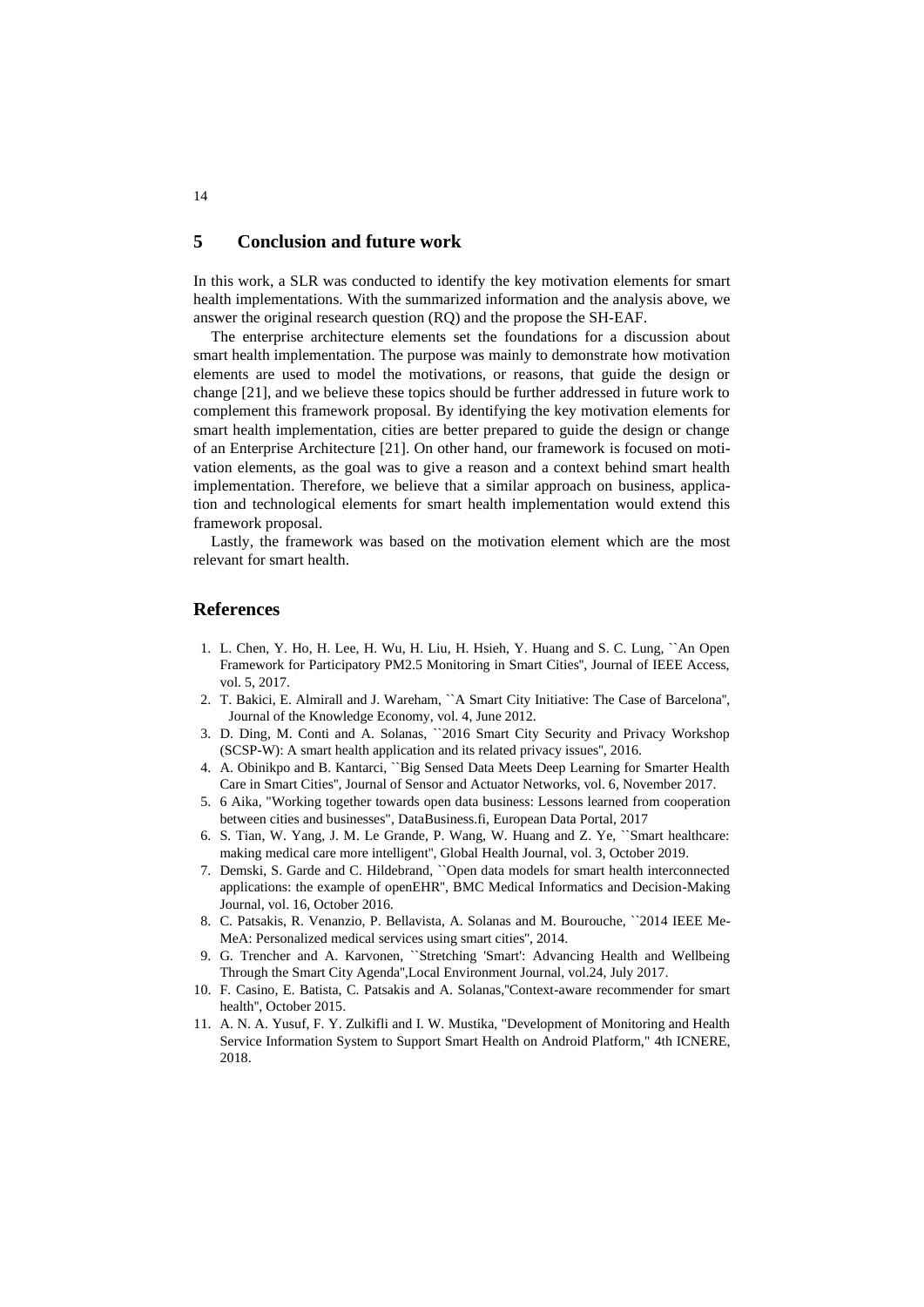### **5 Conclusion and future work**

In this work, a SLR was conducted to identify the key motivation elements for smart health implementations. With the summarized information and the analysis above, we answer the original research question (RQ) and the propose the SH-EAF.

The enterprise architecture elements set the foundations for a discussion about smart health implementation. The purpose was mainly to demonstrate how motivation elements are used to model the motivations, or reasons, that guide the design or change [21], and we believe these topics should be further addressed in future work to complement this framework proposal. By identifying the key motivation elements for smart health implementation, cities are better prepared to guide the design or change of an Enterprise Architecture [21]. On other hand, our framework is focused on motivation elements, as the goal was to give a reason and a context behind smart health implementation. Therefore, we believe that a similar approach on business, application and technological elements for smart health implementation would extend this framework proposal.

Lastly, the framework was based on the motivation element which are the most relevant for smart health.

### **References**

- 1. L. Chen, Y. Ho, H. Lee, H. Wu, H. Liu, H. Hsieh, Y. Huang and S. C. Lung, ``An Open Framework for Participatory PM2.5 Monitoring in Smart Cities'', Journal of IEEE Access, vol. 5, 2017.
- 2. T. Bakici, E. Almirall and J. Wareham, ``A Smart City Initiative: The Case of Barcelona'', Journal of the Knowledge Economy, vol. 4, June 2012.
- 3. D. Ding, M. Conti and A. Solanas, ``2016 Smart City Security and Privacy Workshop (SCSP-W): A smart health application and its related privacy issues'', 2016.
- 4. A. Obinikpo and B. Kantarci, ``Big Sensed Data Meets Deep Learning for Smarter Health Care in Smart Cities'', Journal of Sensor and Actuator Networks, vol. 6, November 2017.
- 5. 6 Aika, "Working together towards open data business: Lessons learned from cooperation between cities and businesses", DataBusiness.fi, European Data Portal, 2017
- 6. S. Tian, W. Yang, J. M. Le Grande, P. Wang, W. Huang and Z. Ye, ``Smart healthcare: making medical care more intelligent'', Global Health Journal, vol. 3, October 2019.
- 7. Demski, S. Garde and C. Hildebrand, ``Open data models for smart health interconnected applications: the example of openEHR'', BMC Medical Informatics and Decision-Making Journal, vol. 16, October 2016.
- 8. C. Patsakis, R. Venanzio, P. Bellavista, A. Solanas and M. Bourouche, ``2014 IEEE Me-MeA: Personalized medical services using smart cities'', 2014.
- 9. G. Trencher and A. Karvonen, ``Stretching 'Smart': Advancing Health and Wellbeing Through the Smart City Agenda'',Local Environment Journal, vol.24, July 2017.
- 10. F. Casino, E. Batista, C. Patsakis and A. Solanas,''Context-aware recommender for smart health'', October 2015.
- 11. A. N. A. Yusuf, F. Y. Zulkifli and I. W. Mustika, "Development of Monitoring and Health Service Information System to Support Smart Health on Android Platform," 4th ICNERE, 2018.

14